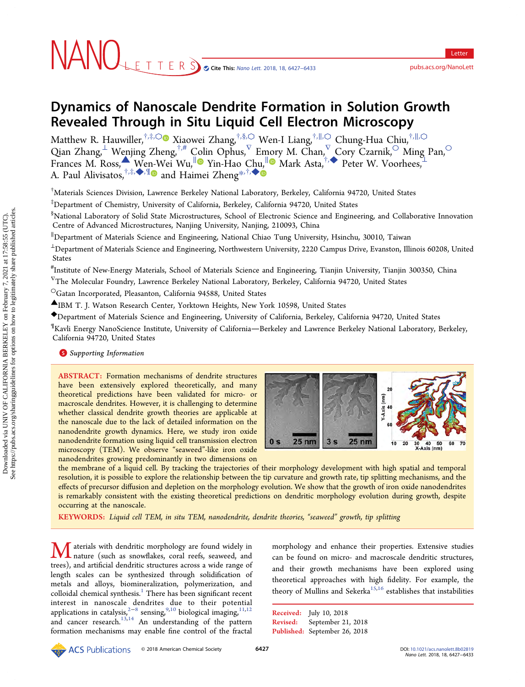# Dynamics of Nanoscale Dendrite Formation in Solution Growth Revealed Through in Situ Liquid Cell Electron Microscopy

Matthew R. Hauwiller, $^{\dagger,\ddagger,\bigcirc}$ ® Xiaowei Zhang, $^{\dagger,\S,\bigcirc}$  Wen-I Liang, $^{\dagger,\parallel,\bigcirc}$  Chung-Hua Chiu, $^{\dagger,\parallel,\bigcirc}$ Qian Zhang, $^\perp$  Wenjing Zheng, $^{\dagger,\#}$  [Col](#page-5-0)in Ophus, $^\nabla$  E[mor](#page-5-0)y M. Chan, $^\nabla$  Cory Czarnik, $^\circ$  Ming Pan, $^\circ$ Frances M. Ross,▲ We[n-W](#page-5-0)ei W[u,](#page-5-0)<sup>∥</sup> Yin-Hao Chu,<sup>∥</sup> Mark Asta,<sup>†,◆</sup> Peter W. Voorhees, A. Paul Alivisatos,  $\phi^{\dagger,\dagger,\blacklozenge}$ , and Haimei Zheng[\\*](#page-5-0),  $\phi^{\dagger,\blacklozenge}$ 

† Materials Sciences Division, Lawrence Berkeley National Laboratory, Berkeley, California 94720, United States

‡ Department of Chemistry, University of California, Berkeley, California 94720, United States

 $^{\$}$ National Laboratory of Solid State Microstructures, School of Electronic Science and Engineering, and Collaborative Innovation Centre of Advanced Microstructures, Nanjing University, Nanjing, 210093, China

∥ Department of Materials Science and Engineering, National Chiao Tung University, Hsinchu, 30010, Taiwan

<sup>⊥</sup>Department of Materials Science and Engineering, Northwestern University, 2220 Campus Drive, Evanston, Illinois 60208, United States

# Institute of New-Energy Materials, School of Materials Science and Engineering, Tianjin University, Tianjin 300350, China

<sup>∇</sup>The Molecular Foundry, Lawrence Berkeley National Laboratory, Berkeley, California 94720, United States

○Gatan Incorporated, Pleasanton, California 94588, United States

▲IBM T. J. Watson Research Center, Yorktown Heights, New York 10598, United States

◆Department of Materials Science and Engineering, University of California, Berkeley, California 94720, United States

 $^{\rm I\!I}$ Kavli Energy NanoScience Institute, University of California—Berkeley and Lawrence Berkeley National Laboratory, Berkeley, California 94720, United States

**S** [Supporting Information](#page-5-0)

ABSTRACT: Formation mechanisms of dendrite structures have been extensively explored theoretically, and many theoretical predictions have been validated for micro- or macroscale dendrites. However, it is challenging to determine whether classical dendrite growth theories are applicable at the nanoscale due to the lack of detailed information on the nanodendrite growth dynamics. Here, we study iron oxide nanodendrite formation using liquid cell transmission electron microscopy (TEM). We observe "seaweed"-like iron oxide nanodendrites growing predominantly in two dimensions on



the membrane of a liquid cell. By tracking the trajectories of their morphology development with high spatial and temporal resolution, it is possible to explore the relationship between the tip curvature and growth rate, tip splitting mechanisms, and the effects of precursor diffusion and depletion on the morphology evolution. We show that the growth of iron oxide nanodendrites is remarkably consistent with the existing theoretical predictions on dendritic morphology evolution during growth, despite occurring at the nanoscale.

KEYWORDS: Liquid cell TEM, in situ TEM, nanodendrite, dendrite theories, "seaweed" growth, tip splitting

Materials with dendritic morphology are found widely in **L** nature (such as snowflakes, coral reefs, seaweed, and trees), and artificial dendritic structures across a wide range of length scales can be synthesized through solidification of metals and alloys, biomineralization, polymerization, and colloidal chemical synthesis.<sup>[1](#page-5-0)</sup> There has been significant recent interest in nanoscale dendrites due to their potential applications in catalysis, $^{2-8}$  $^{2-8}$  $^{2-8}$  sensing, $^{9,10}$  $^{9,10}$  $^{9,10}$  $^{9,10}$  $^{9,10}$  biological imaging, $^{11,12}$  $^{11,12}$  $^{11,12}$ and cancer research.<sup>[13,14](#page-6-0)</sup> An understanding of the pattern formation mechanisms may enable fine control of the fractal

morphology and enhance their properties. Extensive studies can be found on micro- and macroscale dendritic structures, and their growth mechanisms have been explored using theoretical approaches with high fidelity. For example, the theory of Mullins and Sekerka<sup>15,16</sup> establishes that instabilities

Received: July 10, 2018 Revised: September 21, 2018 Published: September 26, 2018

See https://pubs.acs.org/sharingguidelines for options on how to legitimately share published articles.Downloaded via UNIV OF CALIFORNIA BERKELEY on February 7, 2021 at 17:58:55 (UTC).<br>See https://pubs.acs.org/sharingguidelines for options on how to legitimately share published articles. Downloaded via UNIV OF CALIFORNIA BERKELEY on February 7, 2021 at 17:58:55 (UTC).

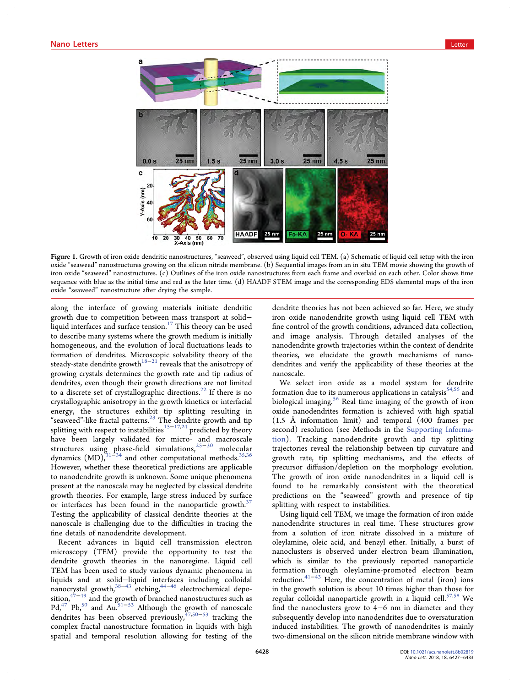<span id="page-1-0"></span>

Figure 1. Growth of iron oxide dendritic nanostructures, "seaweed", observed using liquid cell TEM. (a) Schematic of liquid cell setup with the iron oxide "seaweed" nanostructures growing on the silicon nitride membrane. (b) Sequential images from an in situ TEM movie showing the growth of iron oxide "seaweed" nanostructures. (c) Outlines of the iron oxide nanostructures from each frame and overlaid on each other. Color shows time sequence with blue as the initial time and red as the later time. (d) HAADF STEM image and the corresponding EDS elemental maps of the iron oxide "seaweed" nanostructure after drying the sample.

along the interface of growing materials initiate dendritic growth due to competition between mass transport at solid− liquid interfaces and surface tension.<sup>[17](#page-6-0)</sup> This theory can be used to describe many systems where the growth medium is initially homogeneous, and the evolution of local fluctuations leads to formation of dendrites. Microscopic solvability theory of the steady-state dendrite growth<sup>18−[21](#page-6-0)</sup> reveals that the anisotropy of growing crystals determines the growth rate and tip radius of dendrites, even though their growth directions are not limited to a discrete set of crystallographic directions.<sup>[22](#page-6-0)</sup> If there is no crystallographic anisotropy in the growth kinetics or interfacial energy, the structures exhibit tip splitting resulting in "seaweed"-like fractal patterns.<sup>[23](#page-6-0)</sup> The dendrite growth and tip splitting with respect to instabilities<sup>15−[17,24](#page-6-0)</sup> predicted by theory have been largely validated for micro- and macroscale structures using phase-field simulations,[25](#page-6-0)−[30](#page-6-0) molecular dynamics  $(MD)$ ,<sup>[31](#page-6-0) $-34$  $-34$ </sup> and other computational methods.<sup>[35,36](#page-6-0)</sup> However, whether these theoretical predictions are applicable to nanodendrite growth is unknown. Some unique phenomena present at the nanoscale may be neglected by classical dendrite growth theories. For example, large stress induced by surface or interfaces has been found in the nanoparticle growth.<sup>37</sup> Testing the applicability of classical dendrite theories at the nanoscale is challenging due to the difficulties in tracing the fine details of nanodendrite development.

Recent advances in liquid cell transmission electron microscopy (TEM) provide the opportunity to test the dendrite growth theories in the nanoregime. Liquid cell TEM has been used to study various dynamic phenomena in liquids and at solid−liquid interfaces including colloidal nquius and at some nyum increased measures and depo-<br>nanocrystal growth,<sup>38−[43](#page-6-0)</sup> etching,<sup>[44](#page-6-0)−[46](#page-6-0)</sup> electrochemical depo-sition,<sup>[47](#page-6-0)–[49](#page-6-0)</sup> and the growth of branched nanostructures such as  $Pd, ^{47}Pb, ^{50}$  $Pd, ^{47}Pb, ^{50}$  $Pd, ^{47}Pb, ^{50}$  $Pd, ^{47}Pb, ^{50}$  $Pd, ^{47}Pb, ^{50}$  and Au. $^{51-53}$  $^{51-53}$  $^{51-53}$  Although the growth of nanoscale dendrites has been observed previously,<sup>[47](#page-6-0),[50](#page-6-0)-[53](#page-6-0)</sup> tracking the complex fractal nanostructure formation in liquids with high spatial and temporal resolution allowing for testing of the

dendrite theories has not been achieved so far. Here, we study iron oxide nanodendrite growth using liquid cell TEM with fine control of the growth conditions, advanced data collection, and image analysis. Through detailed analyses of the nanodendrite growth trajectories within the context of dendrite theories, we elucidate the growth mechanisms of nanodendrites and verify the applicability of these theories at the nanoscale.

We select iron oxide as a model system for dendrite formation due to its numerous applications in catalysis $54,55$  $54,55$  and biological imaging.[56](#page-6-0) Real time imaging of the growth of iron oxide nanodendrites formation is achieved with high spatial (1.5 Å information limit) and temporal (400 frames per second) resolution (see Methods in the [Supporting Informa](#page-5-0)[tion\)](#page-5-0). Tracking nanodendrite growth and tip splitting trajectories reveal the relationship between tip curvature and growth rate, tip splitting mechanisms, and the effects of precursor diffusion/depletion on the morphology evolution. The growth of iron oxide nanodendrites in a liquid cell is found to be remarkably consistent with the theoretical predictions on the "seaweed" growth and presence of tip splitting with respect to instabilities.

Using liquid cell TEM, we image the formation of iron oxide nanodendrite structures in real time. These structures grow from a solution of iron nitrate dissolved in a mixture of oleylamine, oleic acid, and benzyl ether. Initially, a burst of nanoclusters is observed under electron beam illumination, which is similar to the previously reported nanoparticle formation through oleylamine-promoted electron beam reduction.<sup>41−[43](#page-6-0)</sup> Here, the concentration of metal (iron) ions in the growth solution is about 10 times higher than those for regular colloidal nanoparticle growth in a liquid cell.<sup>[57](#page-6-0),[58](#page-6-0)</sup> We find the nanoclusters grow to 4−6 nm in diameter and they subsequently develop into nanodendrites due to oversaturation induced instabilities. The growth of nanodendrites is mainly two-dimensional on the silicon nitride membrane window with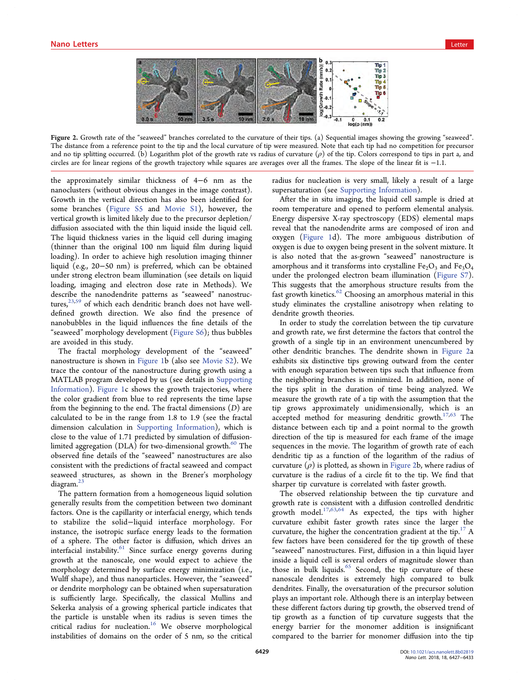<span id="page-2-0"></span>

Figure 2. Growth rate of the "seaweed" branches correlated to the curvature of their tips. (a) Sequential images showing the growing "seaweed". The distance from a reference point to the tip and the local curvature of tip were measured. Note that each tip had no competition for precursor and no tip splitting occurred. (b) Logarithm plot of the growth rate vs radius of curvature  $(\rho)$  of the tip. Colors correspond to tips in part a, and circles are for linear regions of the growth trajectory while squares are averages over all the frames. The slope of the linear fit is −1.1.

the approximately similar thickness of 4−6 nm as the nanoclusters (without obvious changes in the image contrast). Growth in the vertical direction has also been identified for some branches [\(Figure S5](http://pubs.acs.org/doi/suppl/10.1021/acs.nanolett.8b02819/suppl_file/nl8b02819_si_001.pdf) and [Movie S1](http://pubs.acs.org/doi/suppl/10.1021/acs.nanolett.8b02819/suppl_file/nl8b02819_si_002.avi)), however, the vertical growth is limited likely due to the precursor depletion/ diffusion associated with the thin liquid inside the liquid cell. The liquid thickness varies in the liquid cell during imaging (thinner than the original 100 nm liquid film during liquid loading). In order to achieve high resolution imaging thinner liquid (e.g., 20−50 nm) is preferred, which can be obtained under strong electron beam illumination (see details on liquid loading, imaging and electron dose rate in Methods). We describe the nanodendrite patterns as "seaweed" nanostructures, $23,59$  $23,59$  of which each dendritic branch does not have welldefined growth direction. We also find the presence of nanobubbles in the liquid influences the fine details of the "seaweed" morphology development [\(Figure S6\)](http://pubs.acs.org/doi/suppl/10.1021/acs.nanolett.8b02819/suppl_file/nl8b02819_si_001.pdf); thus bubbles are avoided in this study.

The fractal morphology development of the "seaweed" nanostructure is shown in [Figure 1](#page-1-0)b (also see [Movie S2](http://pubs.acs.org/doi/suppl/10.1021/acs.nanolett.8b02819/suppl_file/nl8b02819_si_003.avi)). We trace the contour of the nanostructure during growth using a MATLAB program developed by us (see details in [Supporting](#page-5-0) [Information](#page-5-0)). [Figure 1c](#page-1-0) shows the growth trajectories, where the color gradient from blue to red represents the time lapse from the beginning to the end. The fractal dimensions (D) are calculated to be in the range from 1.8 to 1.9 (see the fractal dimension calculation in [Supporting Information](#page-5-0)), which is close to the value of 1.71 predicted by simulation of diffusionlimited aggregation (DLA) for two-dimensional growth. $^{60}$  $^{60}$  $^{60}$  The observed fine details of the "seaweed" nanostructures are also consistent with the predictions of fractal seaweed and compact seaweed structures, as shown in the Brener's morphology diagram.<sup>23</sup>

The pattern formation from a homogeneous liquid solution generally results from the competition between two dominant factors. One is the capillarity or interfacial energy, which tends to stabilize the solid−liquid interface morphology. For instance, the isotropic surface energy leads to the formation of a sphere. The other factor is diffusion, which drives an interfacial instability. $61$  Since surface energy governs during growth at the nanoscale, one would expect to achieve the morphology determined by surface energy minimization (i.e., Wulff shape), and thus nanoparticles. However, the "seaweed" or dendrite morphology can be obtained when supersaturation is sufficiently large. Specifically, the classical Mullins and Sekerka analysis of a growing spherical particle indicates that the particle is unstable when its radius is seven times the critical radius for nucleation.<sup>[16](#page-6-0)</sup> We observe morphological instabilities of domains on the order of 5 nm, so the critical

radius for nucleation is very small, likely a result of a large supersaturation (see [Supporting Information](#page-5-0)).

After the in situ imaging, the liquid cell sample is dried at room temperature and opened to perform elemental analysis. Energy dispersive X-ray spectroscopy (EDS) elemental maps reveal that the nanodendrite arms are composed of iron and oxygen [\(Figure 1d](#page-1-0)). The more ambiguous distribution of oxygen is due to oxygen being present in the solvent mixture. It is also noted that the as-grown "seaweed" nanostructure is amorphous and it transforms into crystalline  $Fe<sub>2</sub>O<sub>3</sub>$  and  $Fe<sub>3</sub>O<sub>4</sub>$ under the prolonged electron beam illumination ([Figure S7](http://pubs.acs.org/doi/suppl/10.1021/acs.nanolett.8b02819/suppl_file/nl8b02819_si_001.pdf)). This suggests that the amorphous structure results from the fast growth kinetics. $62$  Choosing an amorphous material in this study eliminates the crystalline anisotropy when relating to dendrite growth theories.

In order to study the correlation between the tip curvature and growth rate, we first determine the factors that control the growth of a single tip in an environment unencumbered by other dendritic branches. The dendrite shown in Figure 2a exhibits six distinctive tips growing outward from the center with enough separation between tips such that influence from the neighboring branches is minimized. In addition, none of the tips split in the duration of time being analyzed. We measure the growth rate of a tip with the assumption that the tip grows approximately unidimensionally, which is an accepted method for measuring dendritic growth.[17,63](#page-6-0) The distance between each tip and a point normal to the growth direction of the tip is measured for each frame of the image sequences in the movie. The logarithm of growth rate of each dendritic tip as a function of the logarithm of the radius of curvature  $(\rho)$  is plotted, as shown in Figure 2b, where radius of curvature is the radius of a circle fit to the tip. We find that sharper tip curvature is correlated with faster growth.

The observed relationship between the tip curvature and growth rate is consistent with a diffusion controlled dendritic growth model. $17,63,64$  $17,63,64$  $17,63,64$  $17,63,64$  $17,63,64$  As expected, the tips with higher curvature exhibit faster growth rates since the larger the curvature, the higher the concentration gradient at the tip.<sup>17</sup> A few factors have been considered for the tip growth of these "seaweed" nanostructures. First, diffusion in a thin liquid layer inside a liquid cell is several orders of magnitude slower than those in bulk liquids. $65$  Second, the tip curvature of these nanoscale dendrites is extremely high compared to bulk dendrites. Finally, the oversaturation of the precursor solution plays an important role. Although there is an interplay between these different factors during tip growth, the observed trend of tip growth as a function of tip curvature suggests that the energy barrier for the monomer addition is insignificant compared to the barrier for monomer diffusion into the tip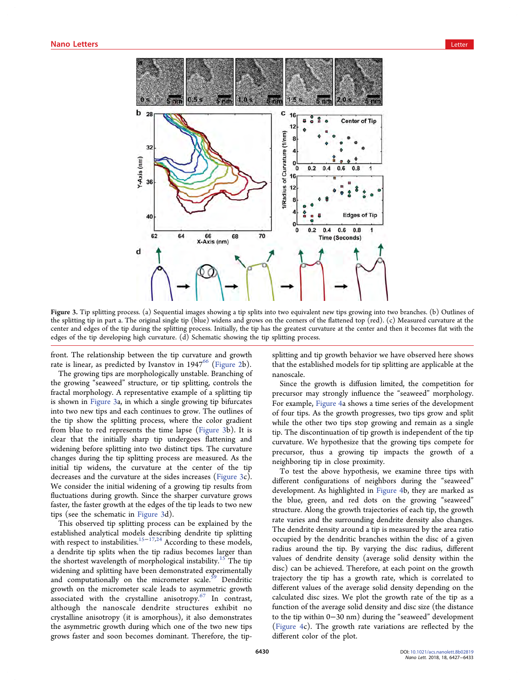

Figure 3. Tip splitting process. (a) Sequential images showing a tip splits into two equivalent new tips growing into two branches. (b) Outlines of the splitting tip in part a. The original single tip (blue) widens and grows on the corners of the flattened top (red). (c) Measured curvature at the center and edges of the tip during the splitting process. Initially, the tip has the greatest curvature at the center and then it becomes flat with the edges of the tip developing high curvature. (d) Schematic showing the tip splitting process.

front. The relationship between the tip curvature and growth rate is linear, as predicted by Ivanstov in  $1947^{66}$  $1947^{66}$  $1947^{66}$  [\(Figure 2b](#page-2-0)).

The growing tips are morphologically unstable. Branching of the growing "seaweed" structure, or tip splitting, controls the fractal morphology. A representative example of a splitting tip is shown in Figure 3a, in which a single growing tip bifurcates into two new tips and each continues to grow. The outlines of the tip show the splitting process, where the color gradient from blue to red represents the time lapse (Figure 3b). It is clear that the initially sharp tip undergoes flattening and widening before splitting into two distinct tips. The curvature changes during the tip splitting process are measured. As the initial tip widens, the curvature at the center of the tip decreases and the curvature at the sides increases (Figure 3c). We consider the initial widening of a growing tip results from fluctuations during growth. Since the sharper curvature grows faster, the faster growth at the edges of the tip leads to two new tips (see the schematic in Figure 3d).

This observed tip splitting process can be explained by the established analytical models describing dendrite tip splitting with respect to instabilities.<sup>[15](#page-6-0)−[17,24](#page-6-0)</sup> According to these models, a dendrite tip splits when the tip radius becomes larger than the shortest wavelength of morphological instability.<sup>[15](#page-6-0)</sup> The tip widening and splitting have been demonstrated experimentally and computationally on the micrometer scale.<sup>[59](#page-6-0)</sup> Dendritic growth on the micrometer scale leads to asymmetric growth associated with the crystalline anisotropy.[67](#page-6-0) In contrast, although the nanoscale dendrite structures exhibit no crystalline anisotropy (it is amorphous), it also demonstrates the asymmetric growth during which one of the two new tips grows faster and soon becomes dominant. Therefore, the tip-

splitting and tip growth behavior we have observed here shows that the established models for tip splitting are applicable at the nanoscale.

Since the growth is diffusion limited, the competition for precursor may strongly influence the "seaweed" morphology. For example, [Figure 4](#page-4-0)a shows a time series of the development of four tips. As the growth progresses, two tips grow and split while the other two tips stop growing and remain as a single tip. The discontinuation of tip growth is independent of the tip curvature. We hypothesize that the growing tips compete for precursor, thus a growing tip impacts the growth of a neighboring tip in close proximity.

To test the above hypothesis, we examine three tips with different configurations of neighbors during the "seaweed" development. As highlighted in [Figure 4b](#page-4-0), they are marked as the blue, green, and red dots on the growing "seaweed" structure. Along the growth trajectories of each tip, the growth rate varies and the surrounding dendrite density also changes. The dendrite density around a tip is measured by the area ratio occupied by the dendritic branches within the disc of a given radius around the tip. By varying the disc radius, different values of dendrite density (average solid density within the disc) can be achieved. Therefore, at each point on the growth trajectory the tip has a growth rate, which is correlated to different values of the average solid density depending on the calculated disc sizes. We plot the growth rate of the tip as a function of the average solid density and disc size (the distance to the tip within 0−30 nm) during the "seaweed" development ([Figure 4c](#page-4-0)). The growth rate variations are reflected by the different color of the plot.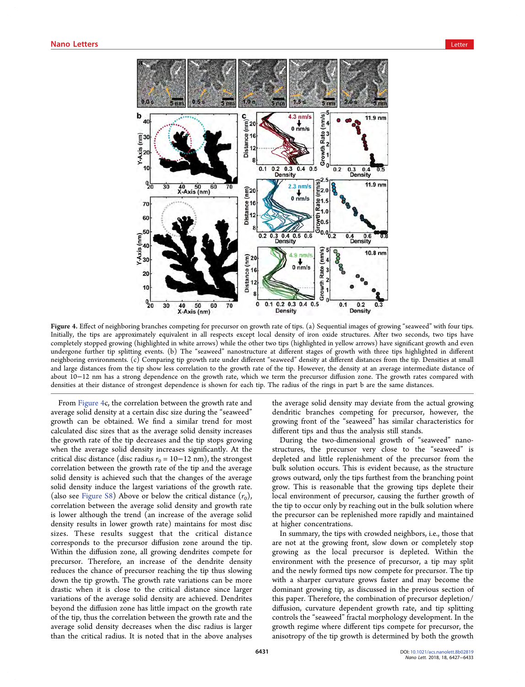<span id="page-4-0"></span>

Figure 4. Effect of neighboring branches competing for precursor on growth rate of tips. (a) Sequential images of growing "seaweed" with four tips. Initially, the tips are approximately equivalent in all respects except local density of iron oxide structures. After two seconds, two tips have completely stopped growing (highlighted in white arrows) while the other two tips (highlighted in yellow arrows) have significant growth and even undergone further tip splitting events. (b) The "seaweed" nanostructure at different stages of growth with three tips highlighted in different neighboring environments. (c) Comparing tip growth rate under different "seaweed" density at different distances from the tip. Densities at small and large distances from the tip show less correlation to the growth rate of the tip. However, the density at an average intermediate distance of about 10−12 nm has a strong dependence on the growth rate, which we term the precursor diffusion zone. The growth rates compared with densities at their distance of strongest dependence is shown for each tip. The radius of the rings in part b are the same distances.

From Figure 4c, the correlation between the growth rate and average solid density at a certain disc size during the "seaweed" growth can be obtained. We find a similar trend for most calculated disc sizes that as the average solid density increases the growth rate of the tip decreases and the tip stops growing when the average solid density increases significantly. At the critical disc distance (disc radius  $r_0 = 10-12$  nm), the strongest correlation between the growth rate of the tip and the average solid density is achieved such that the changes of the average solid density induce the largest variations of the growth rate. (also see [Figure S8](http://pubs.acs.org/doi/suppl/10.1021/acs.nanolett.8b02819/suppl_file/nl8b02819_si_001.pdf)) Above or below the critical distance  $(r_0)$ , correlation between the average solid density and growth rate is lower although the trend (an increase of the average solid density results in lower growth rate) maintains for most disc sizes. These results suggest that the critical distance corresponds to the precursor diffusion zone around the tip. Within the diffusion zone, all growing dendrites compete for precursor. Therefore, an increase of the dendrite density reduces the chance of precursor reaching the tip thus slowing down the tip growth. The growth rate variations can be more drastic when it is close to the critical distance since larger variations of the average solid density are achieved. Dendrites beyond the diffusion zone has little impact on the growth rate of the tip, thus the correlation between the growth rate and the average solid density decreases when the disc radius is larger than the critical radius. It is noted that in the above analyses

the average solid density may deviate from the actual growing dendritic branches competing for precursor, however, the growing front of the "seaweed" has similar characteristics for different tips and thus the analysis still stands.

During the two-dimensional growth of "seaweed" nanostructures, the precursor very close to the "seaweed" is depleted and little replenishment of the precursor from the bulk solution occurs. This is evident because, as the structure grows outward, only the tips furthest from the branching point grow. This is reasonable that the growing tips deplete their local environment of precursor, causing the further growth of the tip to occur only by reaching out in the bulk solution where the precursor can be replenished more rapidly and maintained at higher concentrations.

In summary, the tips with crowded neighbors, i.e., those that are not at the growing front, slow down or completely stop growing as the local precursor is depleted. Within the environment with the presence of precursor, a tip may split and the newly formed tips now compete for precursor. The tip with a sharper curvature grows faster and may become the dominant growing tip, as discussed in the previous section of this paper. Therefore, the combination of precursor depletion/ diffusion, curvature dependent growth rate, and tip splitting controls the "seaweed" fractal morphology development. In the growth regime where different tips compete for precursor, the anisotropy of the tip growth is determined by both the growth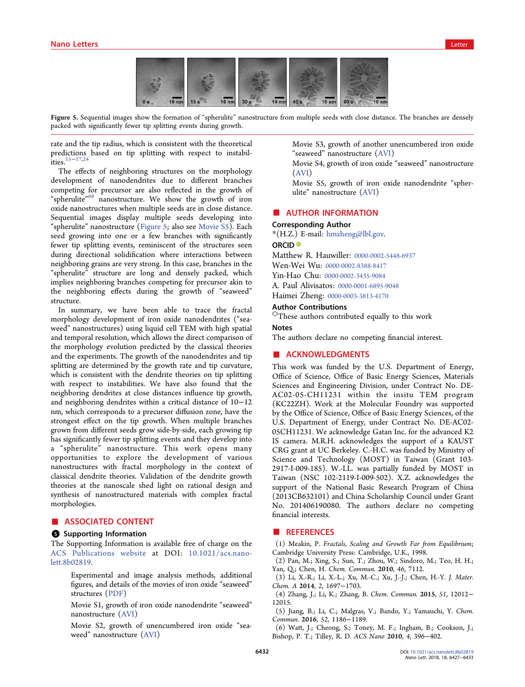<span id="page-5-0"></span>

Figure 5. Sequential images show the formation of "spherulite" nanostructure from multiple seeds with close distance. The branches are densely packed with significantly fewer tip splitting events during growth.

rate and the tip radius, which is consistent with the theoretical predictions based on tip splitting with respect to instabilities.[15](#page-6-0)<sup>−</sup>[17](#page-6-0),[24](#page-6-0)

The effects of neighboring structures on the morphology development of nanodendrites due to different branches competing for precursor are also reflected in the growth of "spherulite"<sup>[68](#page-6-0)</sup> nanostructure. We show the growth of iron oxide nanostructures when multiple seeds are in close distance. Sequential images display multiple seeds developing into "spherulite" nanostructure (Figure 5; also see [Movie S5](http://pubs.acs.org/doi/suppl/10.1021/acs.nanolett.8b02819/suppl_file/nl8b02819_si_006.avi)). Each seed growing into one or a few branches with significantly fewer tip splitting events, reminiscent of the structures seen during directional solidification where interactions between neighboring grains are very strong. In this case, branches in the "spherulite" structure are long and densely packed, which implies neighboring branches competing for precursor akin to the neighboring effects during the growth of "seaweed" structure.

In summary, we have been able to trace the fractal morphology development of iron oxide nanodendrites ("seaweed" nanostructures) using liquid cell TEM with high spatial and temporal resolution, which allows the direct comparison of the morphology evolution predicted by the classical theories and the experiments. The growth of the nanodendrites and tip splitting are determined by the growth rate and tip curvature, which is consistent with the dendrite theories on tip splitting with respect to instabilities. We have also found that the neighboring dendrites at close distances influence tip growth, and neighboring dendrites within a critical distance of 10−12 nm, which corresponds to a precursor diffusion zone, have the strongest effect on the tip growth. When multiple branches grown from different seeds grow side-by-side, each growing tip has significantly fewer tip splitting events and they develop into a "spherulite" nanostructure. This work opens many opportunities to explore the development of various nanostructures with fractal morphology in the context of classical dendrite theories. Validation of the dendrite growth theories at the nanoscale shed light on rational design and synthesis of nanostructured materials with complex fractal morphologies.

# ■ ASSOCIATED CONTENT

#### **S** Supporting Information

The Supporting Information is available free of charge on the [ACS Publications website](http://pubs.acs.org) at DOI: [10.1021/acs.nano](http://pubs.acs.org/doi/abs/10.1021/acs.nanolett.8b02819)[lett.8b02819](http://pubs.acs.org/doi/abs/10.1021/acs.nanolett.8b02819).

Experimental and image analysis methods, additional figures, and details of the movies of iron oxide "seaweed" structures [\(PDF\)](http://pubs.acs.org/doi/suppl/10.1021/acs.nanolett.8b02819/suppl_file/nl8b02819_si_001.pdf)

Movie S1, growth of iron oxide nanodendrite "seaweed" nanostructure ([AVI](http://pubs.acs.org/doi/suppl/10.1021/acs.nanolett.8b02819/suppl_file/nl8b02819_si_002.avi))

Movie S2, growth of unencumbered iron oxide "seaweed" nanostructure [\(AVI\)](http://pubs.acs.org/doi/suppl/10.1021/acs.nanolett.8b02819/suppl_file/nl8b02819_si_003.avi)

Movie S3, growth of another unencumbered iron oxide "seaweed" nanostructure ([AVI](http://pubs.acs.org/doi/suppl/10.1021/acs.nanolett.8b02819/suppl_file/nl8b02819_si_004.avi))

Movie S4, growth of iron oxide "seaweed" nanostructure ([AVI](http://pubs.acs.org/doi/suppl/10.1021/acs.nanolett.8b02819/suppl_file/nl8b02819_si_005.avi))

Movie S5, growth of iron oxide nanodendrite "spherulite" nanostructure [\(AVI\)](http://pubs.acs.org/doi/suppl/10.1021/acs.nanolett.8b02819/suppl_file/nl8b02819_si_006.avi)

#### ■ AUTHOR INFORMATION

#### Corresponding Author

\*(H.Z.) E-mail: [hmzheng@lbl.gov](mailto:hmzheng@lbl.gov).

## ORCID<sup>®</sup>

Matthew R. Hauwiller: [0000-0002-5448-6937](http://orcid.org/0000-0002-5448-6937) Wen-Wei Wu: [0000-0002-8388-8417](http://orcid.org/0000-0002-8388-8417) Yin-Hao Chu: [0000-0002-3435-9084](http://orcid.org/0000-0002-3435-9084) A. Paul Alivisatos: [0000-0001-6895-9048](http://orcid.org/0000-0001-6895-9048) Haimei Zheng: [0000-0003-3813-4170](http://orcid.org/0000-0003-3813-4170)

## Author Contributions

 $^{\bigcirc}$ These authors contributed equally to this work

## Notes

The authors declare no competing financial interest.

## ■ ACKNOWLEDGMENTS

This work was funded by the U.S. Department of Energy, Office of Science, Office of Basic Energy Sciences, Materials Sciences and Engineering Division, under Contract No. DE-AC02-05-CH11231 within the insitu TEM program (KC22ZH). Work at the Molecular Foundry was supported by the Office of Science, Office of Basic Energy Sciences, of the U.S. Department of Energy, under Contract No. DE-AC02- 05CH11231. We acknowledge Gatan Inc. for the advanced K2 IS camera. M.R.H. acknowledges the support of a KAUST CRG grant at UC Berkeley. C.-H.C. was funded by Ministry of Science and Technology (MOST) in Taiwan (Grant 103- 2917-I-009-185). W.-I.L. was partially funded by MOST in Taiwan (NSC 102-2119-I-009-502). X.Z. acknowledges the support of the National Basic Research Program of China (2013CB632101) and China Scholarship Council under Grant No. 201406190080. The authors declare no competing financial interests.

## ■ REFERENCES

(1) Meakin, P. Fractals, Scaling and Growth Far from Equilibrium; Cambridge University Press: Cambridge, U.K., 1998.

(2) Pan, M.; Xing, S.; Sun, T.; Zhou, W.; Sindoro, M.; Teo, H. H.; Yan, Q.; Chen, H. Chem. Commun. 2010, 46, 7112.

(3) Li, X.-R.; Li, X.-L.; Xu, M.-C.; Xu, J.-J.; Chen, H.-Y. J. Mater. Chem. A 2014, 2, 1697−1703.

(4) Zhang, J.; Li, K.; Zhang, B. Chem. Commun. 2015, 51, 12012− 12015.

(5) Jiang, B.; Li, C.; Malgras, V.; Bando, Y.; Yamauchi, Y. Chem. Commun. 2016, 52, 1186−1189.

(6) Watt, J.; Cheong, S.; Toney, M. F.; Ingham, B.; Cookson, J.; Bishop, P. T.; Tilley, R. D. ACS Nano 2010, 4, 396−402.

6432